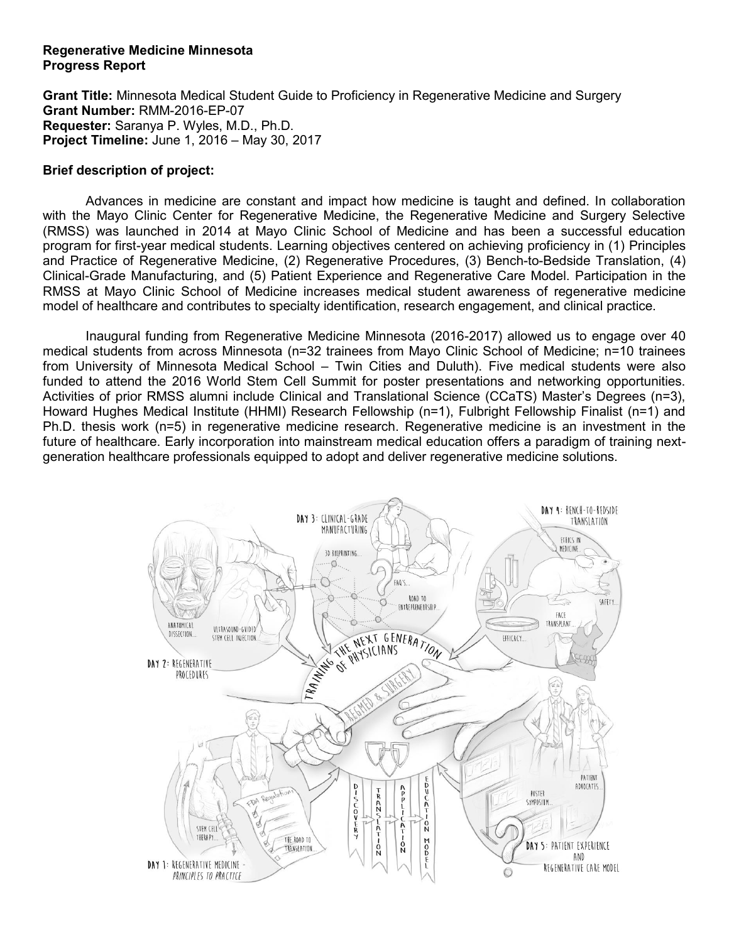### **Regenerative Medicine Minnesota Progress Report**

**Grant Title:** Minnesota Medical Student Guide to Proficiency in Regenerative Medicine and Surgery **Grant Number:** RMM-2016-EP-07 **Requester:** Saranya P. Wyles, M.D., Ph.D. **Project Timeline:** June 1, 2016 – May 30, 2017

# **Brief description of project:**

Advances in medicine are constant and impact how medicine is taught and defined. In collaboration with the Mayo Clinic Center for Regenerative Medicine, the Regenerative Medicine and Surgery Selective (RMSS) was launched in 2014 at Mayo Clinic School of Medicine and has been a successful education program for first-year medical students. Learning objectives centered on achieving proficiency in (1) Principles and Practice of Regenerative Medicine, (2) Regenerative Procedures, (3) Bench-to-Bedside Translation, (4) Clinical-Grade Manufacturing, and (5) Patient Experience and Regenerative Care Model. Participation in the RMSS at Mayo Clinic School of Medicine increases medical student awareness of regenerative medicine model of healthcare and contributes to specialty identification, research engagement, and clinical practice.

Inaugural funding from Regenerative Medicine Minnesota (2016-2017) allowed us to engage over 40 medical students from across Minnesota (n=32 trainees from Mayo Clinic School of Medicine; n=10 trainees from University of Minnesota Medical School – Twin Cities and Duluth). Five medical students were also funded to attend the 2016 World Stem Cell Summit for poster presentations and networking opportunities. Activities of prior RMSS alumni include Clinical and Translational Science (CCaTS) Master's Degrees (n=3), Howard Hughes Medical Institute (HHMI) Research Fellowship (n=1), Fulbright Fellowship Finalist (n=1) and Ph.D. thesis work (n=5) in regenerative medicine research. Regenerative medicine is an investment in the future of healthcare. Early incorporation into mainstream medical education offers a paradigm of training nextgeneration healthcare professionals equipped to adopt and deliver regenerative medicine solutions.

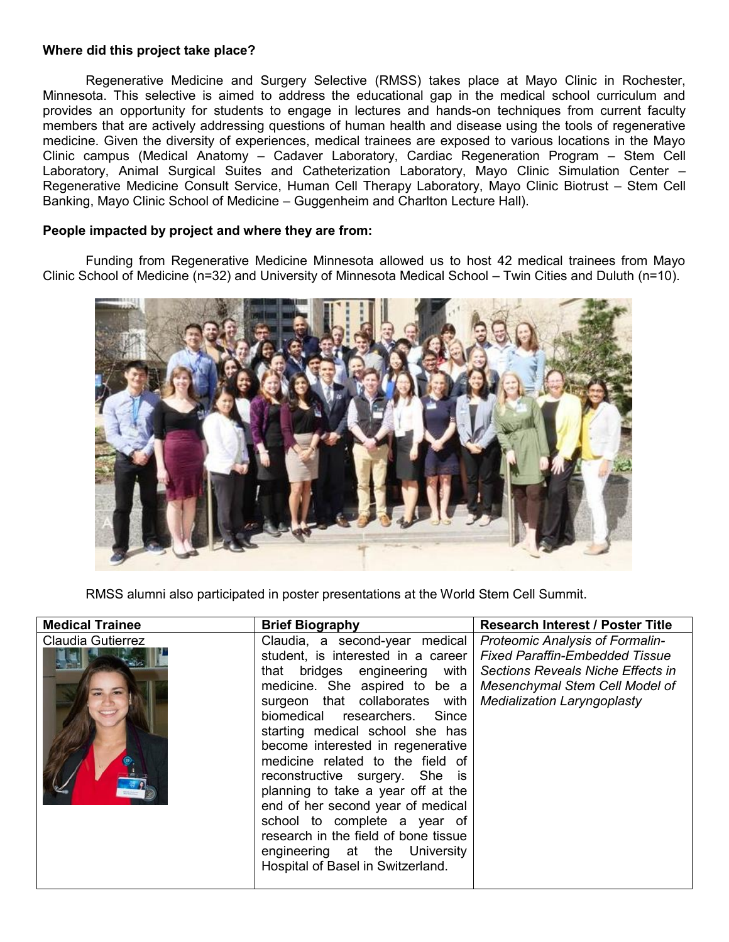### **Where did this project take place?**

Regenerative Medicine and Surgery Selective (RMSS) takes place at Mayo Clinic in Rochester, Minnesota. This selective is aimed to address the educational gap in the medical school curriculum and provides an opportunity for students to engage in lectures and hands-on techniques from current faculty members that are actively addressing questions of human health and disease using the tools of regenerative medicine. Given the diversity of experiences, medical trainees are exposed to various locations in the Mayo Clinic campus (Medical Anatomy – Cadaver Laboratory, Cardiac Regeneration Program – Stem Cell Laboratory, Animal Surgical Suites and Catheterization Laboratory, Mayo Clinic Simulation Center – Regenerative Medicine Consult Service, Human Cell Therapy Laboratory, Mayo Clinic Biotrust – Stem Cell Banking, Mayo Clinic School of Medicine – Guggenheim and Charlton Lecture Hall).

#### **People impacted by project and where they are from:**

Funding from Regenerative Medicine Minnesota allowed us to host 42 medical trainees from Mayo Clinic School of Medicine (n=32) and University of Minnesota Medical School – Twin Cities and Duluth (n=10).



RMSS alumni also participated in poster presentations at the World Stem Cell Summit.

| <b>Medical Trainee</b> | <b>Brief Biography</b>                                                                                                                                                                                                                                                                                                                                                                                                                                                                                                                                                           | <b>Research Interest / Poster Title</b>                                                                                                                                                      |
|------------------------|----------------------------------------------------------------------------------------------------------------------------------------------------------------------------------------------------------------------------------------------------------------------------------------------------------------------------------------------------------------------------------------------------------------------------------------------------------------------------------------------------------------------------------------------------------------------------------|----------------------------------------------------------------------------------------------------------------------------------------------------------------------------------------------|
| Claudia Gutierrez      | Claudia, a second-year medical<br>student, is interested in a career<br>that bridges engineering with<br>medicine. She aspired to be a<br>surgeon that collaborates with<br>biomedical researchers. Since<br>starting medical school she has<br>become interested in regenerative<br>medicine related to the field of<br>reconstructive surgery. She is<br>planning to take a year off at the<br>end of her second year of medical<br>school to complete a year of<br>research in the field of bone tissue<br>engineering at the University<br>Hospital of Basel in Switzerland. | <b>Proteomic Analysis of Formalin-</b><br><b>Fixed Paraffin-Embedded Tissue</b><br>Sections Reveals Niche Effects in<br>Mesenchymal Stem Cell Model of<br><b>Medialization Laryngoplasty</b> |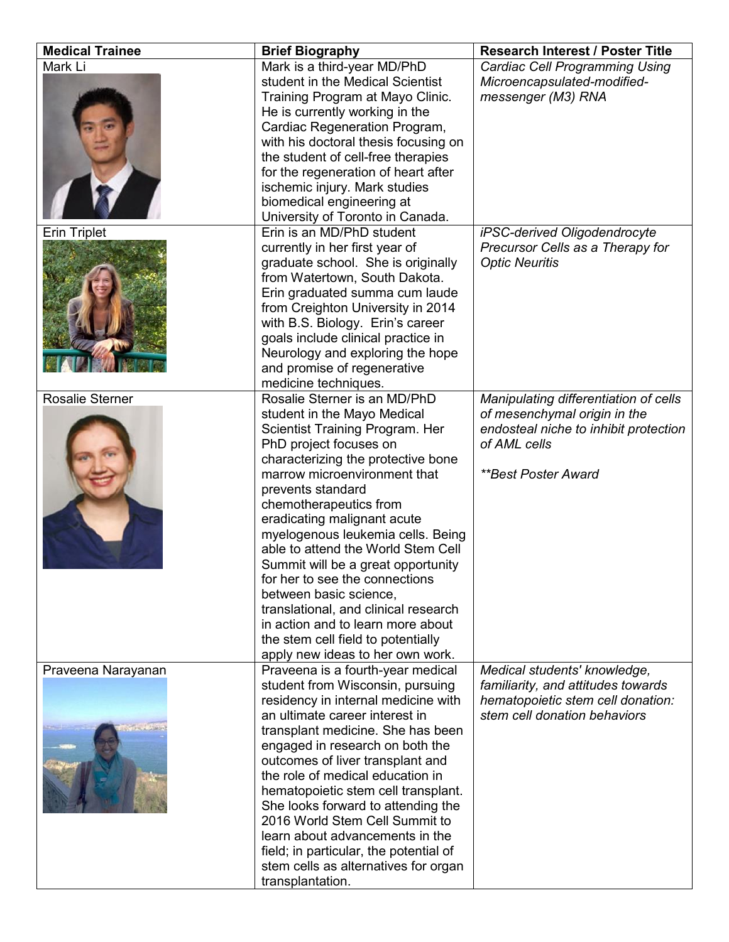| <b>Medical Trainee</b> | <b>Brief Biography</b>                                                                                                                                                                                                                                                                                                                                                                                                                                                                                                                                                                                           | <b>Research Interest / Poster Title</b>                                                                                                                      |
|------------------------|------------------------------------------------------------------------------------------------------------------------------------------------------------------------------------------------------------------------------------------------------------------------------------------------------------------------------------------------------------------------------------------------------------------------------------------------------------------------------------------------------------------------------------------------------------------------------------------------------------------|--------------------------------------------------------------------------------------------------------------------------------------------------------------|
| Mark Li                | Mark is a third-year MD/PhD<br>student in the Medical Scientist<br>Training Program at Mayo Clinic.<br>He is currently working in the<br>Cardiac Regeneration Program,<br>with his doctoral thesis focusing on<br>the student of cell-free therapies<br>for the regeneration of heart after<br>ischemic injury. Mark studies<br>biomedical engineering at<br>University of Toronto in Canada.                                                                                                                                                                                                                    | <b>Cardiac Cell Programming Using</b><br>Microencapsulated-modified-<br>messenger (M3) RNA                                                                   |
| <b>Erin Triplet</b>    | Erin is an MD/PhD student<br>currently in her first year of<br>graduate school. She is originally<br>from Watertown, South Dakota.<br>Erin graduated summa cum laude<br>from Creighton University in 2014<br>with B.S. Biology. Erin's career<br>goals include clinical practice in<br>Neurology and exploring the hope<br>and promise of regenerative<br>medicine techniques.                                                                                                                                                                                                                                   | iPSC-derived Oligodendrocyte<br>Precursor Cells as a Therapy for<br><b>Optic Neuritis</b>                                                                    |
| <b>Rosalie Sterner</b> | Rosalie Sterner is an MD/PhD<br>student in the Mayo Medical<br>Scientist Training Program. Her<br>PhD project focuses on<br>characterizing the protective bone<br>marrow microenvironment that<br>prevents standard<br>chemotherapeutics from<br>eradicating malignant acute<br>myelogenous leukemia cells. Being<br>able to attend the World Stem Cell<br>Summit will be a great opportunity<br>for her to see the connections<br>between basic science,<br>translational, and clinical research<br>in action and to learn more about<br>the stem cell field to potentially<br>apply new ideas to her own work. | Manipulating differentiation of cells<br>of mesenchymal origin in the<br>endosteal niche to inhibit protection<br>of AML cells<br><b>**Best Poster Award</b> |
| Praveena Narayanan     | Praveena is a fourth-year medical<br>student from Wisconsin, pursuing<br>residency in internal medicine with<br>an ultimate career interest in<br>transplant medicine. She has been<br>engaged in research on both the<br>outcomes of liver transplant and<br>the role of medical education in<br>hematopoietic stem cell transplant.<br>She looks forward to attending the<br>2016 World Stem Cell Summit to<br>learn about advancements in the<br>field; in particular, the potential of<br>stem cells as alternatives for organ<br>transplantation.                                                           | Medical students' knowledge,<br>familiarity, and attitudes towards<br>hematopoietic stem cell donation:<br>stem cell donation behaviors                      |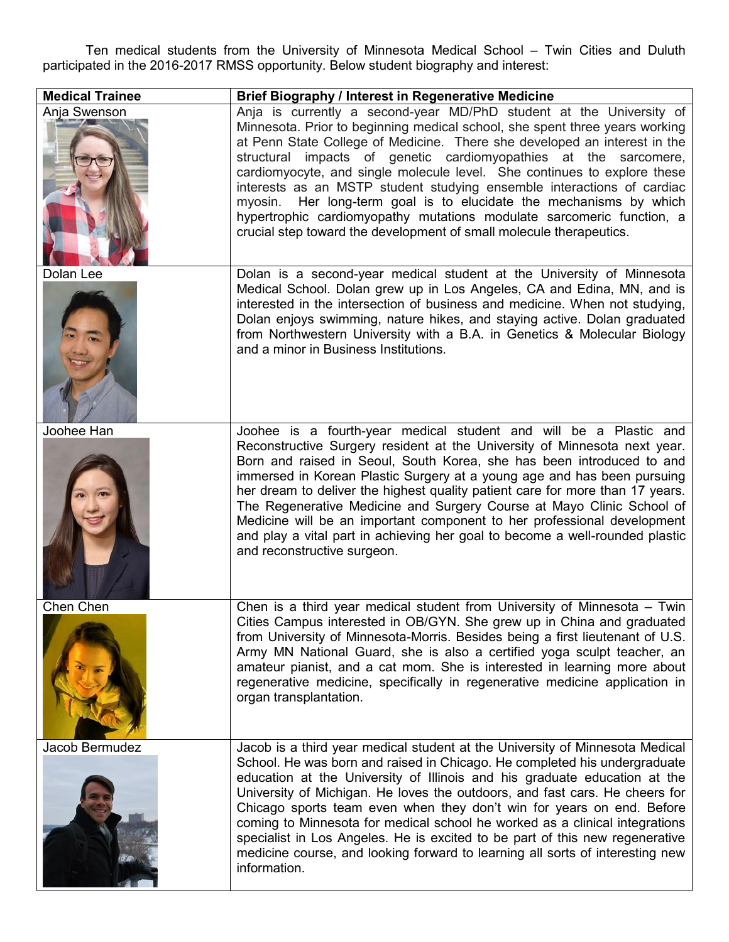Ten medical students from the University of Minnesota Medical School – Twin Cities and Duluth participated in the 2016-2017 RMSS opportunity. Below student biography and interest:

| <b>Medical Trainee</b> | <b>Brief Biography / Interest in Regenerative Medicine</b>                                                                                                                                                                                                                                                                                                                                                                                                                                                                                                                                                                                                                      |
|------------------------|---------------------------------------------------------------------------------------------------------------------------------------------------------------------------------------------------------------------------------------------------------------------------------------------------------------------------------------------------------------------------------------------------------------------------------------------------------------------------------------------------------------------------------------------------------------------------------------------------------------------------------------------------------------------------------|
| Anja Swenson           | Anja is currently a second-year MD/PhD student at the University of<br>Minnesota. Prior to beginning medical school, she spent three years working<br>at Penn State College of Medicine. There she developed an interest in the<br>structural impacts of genetic cardiomyopathies at the sarcomere,<br>cardiomyocyte, and single molecule level. She continues to explore these<br>interests as an MSTP student studying ensemble interactions of cardiac<br>myosin. Her long-term goal is to elucidate the mechanisms by which<br>hypertrophic cardiomyopathy mutations modulate sarcomeric function, a<br>crucial step toward the development of small molecule therapeutics. |
| Dolan Lee              | Dolan is a second-year medical student at the University of Minnesota<br>Medical School. Dolan grew up in Los Angeles, CA and Edina, MN, and is<br>interested in the intersection of business and medicine. When not studying,<br>Dolan enjoys swimming, nature hikes, and staying active. Dolan graduated<br>from Northwestern University with a B.A. in Genetics & Molecular Biology<br>and a minor in Business Institutions.                                                                                                                                                                                                                                                 |
| Joohee Han             | Joohee is a fourth-year medical student and will be a Plastic and<br>Reconstructive Surgery resident at the University of Minnesota next year.<br>Born and raised in Seoul, South Korea, she has been introduced to and<br>immersed in Korean Plastic Surgery at a young age and has been pursuing<br>her dream to deliver the highest quality patient care for more than 17 years.<br>The Regenerative Medicine and Surgery Course at Mayo Clinic School of<br>Medicine will be an important component to her professional development<br>and play a vital part in achieving her goal to become a well-rounded plastic<br>and reconstructive surgeon.                          |
| <b>Chen Chen</b>       | Chen is a third year medical student from University of Minnesota - Twin<br>Cities Campus interested in OB/GYN. She grew up in China and graduated<br>from University of Minnesota-Morris. Besides being a first lieutenant of U.S.<br>Army MN National Guard, she is also a certified yoga sculpt teacher, an<br>amateur pianist, and a cat mom. She is interested in learning more about<br>regenerative medicine, specifically in regenerative medicine application in<br>organ transplantation.                                                                                                                                                                             |
| Jacob Bermudez         | Jacob is a third year medical student at the University of Minnesota Medical<br>School. He was born and raised in Chicago. He completed his undergraduate<br>education at the University of Illinois and his graduate education at the<br>University of Michigan. He loves the outdoors, and fast cars. He cheers for<br>Chicago sports team even when they don't win for years on end. Before<br>coming to Minnesota for medical school he worked as a clinical integrations<br>specialist in Los Angeles. He is excited to be part of this new regenerative<br>medicine course, and looking forward to learning all sorts of interesting new<br>information.                  |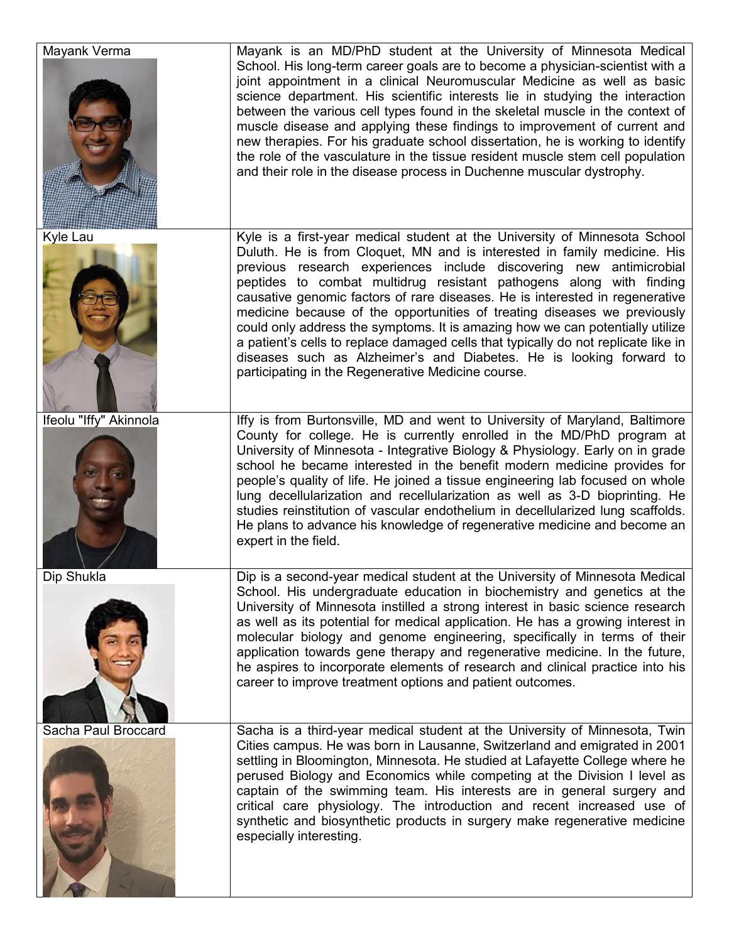| Mayank Verma           | Mayank is an MD/PhD student at the University of Minnesota Medical<br>School. His long-term career goals are to become a physician-scientist with a<br>joint appointment in a clinical Neuromuscular Medicine as well as basic<br>science department. His scientific interests lie in studying the interaction<br>between the various cell types found in the skeletal muscle in the context of<br>muscle disease and applying these findings to improvement of current and<br>new therapies. For his graduate school dissertation, he is working to identify<br>the role of the vasculature in the tissue resident muscle stem cell population<br>and their role in the disease process in Duchenne muscular dystrophy.                                             |
|------------------------|----------------------------------------------------------------------------------------------------------------------------------------------------------------------------------------------------------------------------------------------------------------------------------------------------------------------------------------------------------------------------------------------------------------------------------------------------------------------------------------------------------------------------------------------------------------------------------------------------------------------------------------------------------------------------------------------------------------------------------------------------------------------|
| Kyle Lau               | Kyle is a first-year medical student at the University of Minnesota School<br>Duluth. He is from Cloquet, MN and is interested in family medicine. His<br>previous research experiences include discovering new antimicrobial<br>peptides to combat multidrug resistant pathogens along with finding<br>causative genomic factors of rare diseases. He is interested in regenerative<br>medicine because of the opportunities of treating diseases we previously<br>could only address the symptoms. It is amazing how we can potentially utilize<br>a patient's cells to replace damaged cells that typically do not replicate like in<br>diseases such as Alzheimer's and Diabetes. He is looking forward to<br>participating in the Regenerative Medicine course. |
| Ifeolu "Iffy" Akinnola | Iffy is from Burtonsville, MD and went to University of Maryland, Baltimore<br>County for college. He is currently enrolled in the MD/PhD program at<br>University of Minnesota - Integrative Biology & Physiology. Early on in grade<br>school he became interested in the benefit modern medicine provides for<br>people's quality of life. He joined a tissue engineering lab focused on whole<br>lung decellularization and recellularization as well as 3-D bioprinting. He<br>studies reinstitution of vascular endothelium in decellularized lung scaffolds.<br>He plans to advance his knowledge of regenerative medicine and become an<br>expert in the field.                                                                                              |
| Dip Shukla             | Dip is a second-year medical student at the University of Minnesota Medical<br>School. His undergraduate education in biochemistry and genetics at the<br>University of Minnesota instilled a strong interest in basic science research<br>as well as its potential for medical application. He has a growing interest in<br>molecular biology and genome engineering, specifically in terms of their<br>application towards gene therapy and regenerative medicine. In the future,<br>he aspires to incorporate elements of research and clinical practice into his<br>career to improve treatment options and patient outcomes.                                                                                                                                    |
| Sacha Paul Broccard    | Sacha is a third-year medical student at the University of Minnesota, Twin<br>Cities campus. He was born in Lausanne, Switzerland and emigrated in 2001<br>settling in Bloomington, Minnesota. He studied at Lafayette College where he<br>perused Biology and Economics while competing at the Division I level as<br>captain of the swimming team. His interests are in general surgery and<br>critical care physiology. The introduction and recent increased use of<br>synthetic and biosynthetic products in surgery make regenerative medicine<br>especially interesting.                                                                                                                                                                                      |